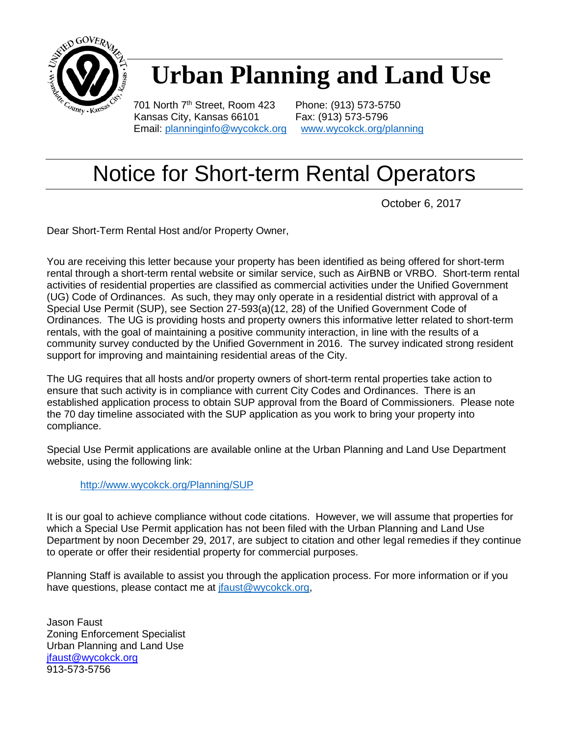

## **Urban Planning and Land Use**

701 North 7<sup>th</sup> Street, Room 423 Phone: (913) 573-5750 Kansas City, Kansas 66101 Fax: (913) 573-5796 Email: [planninginfo@wycokck.org](mailto:planninginfo@wycokck.org) [www.wycokck.org/planning](http://www.wycokck.org/planning)

### Notice for Short-term Rental Operators

October 6, 2017

Dear Short-Term Rental Host and/or Property Owner,

You are receiving this letter because your property has been identified as being offered for short-term rental through a short-term rental website or similar service, such as AirBNB or VRBO. Short-term rental activities of residential properties are classified as commercial activities under the Unified Government (UG) Code of Ordinances. As such, they may only operate in a residential district with approval of a Special Use Permit (SUP), see Section 27-593(a)(12, 28) of the Unified Government Code of Ordinances. The UG is providing hosts and property owners this informative letter related to short-term rentals, with the goal of maintaining a positive community interaction, in line with the results of a community survey conducted by the Unified Government in 2016. The survey indicated strong resident support for improving and maintaining residential areas of the City.

The UG requires that all hosts and/or property owners of short-term rental properties take action to ensure that such activity is in compliance with current City Codes and Ordinances. There is an established application process to obtain SUP approval from the Board of Commissioners. Please note the 70 day timeline associated with the SUP application as you work to bring your property into compliance.

Special Use Permit applications are available online at the Urban Planning and Land Use Department website, using the following link:

#### <http://www.wycokck.org/Planning/SUP>

It is our goal to achieve compliance without code citations. However, we will assume that properties for which a Special Use Permit application has not been filed with the Urban Planning and Land Use Department by noon December 29, 2017, are subject to citation and other legal remedies if they continue to operate or offer their residential property for commercial purposes.

Planning Staff is available to assist you through the application process. For more information or if you have questions, please contact me at [jfaust@wycokck.org,](mailto:jfaust@wycokck.org)

Jason Faust Zoning Enforcement Specialist Urban Planning and Land Use [jfaust@wycokck.org](mailto:jfaust@wycokck.org) 913-573-5756